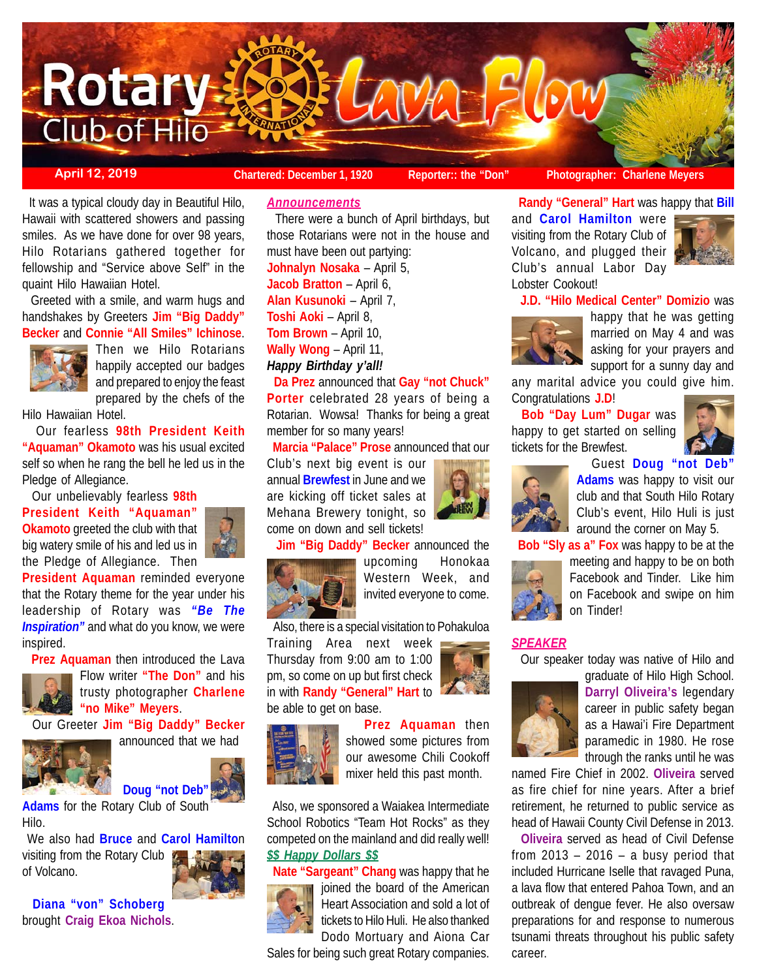

April 12, 2019 **Chartered: December 1, 1920** Reporter:: the "Don" Photographer: Charlene Meyers

**Randy "General" Hart** was happy that **Bill**

**J.D. "Hilo Medical Center" Domizio** was

any marital advice you could give him.

 **Bob "Day Lum" Dugar** was happy to get started on selling

happy that he was getting married on May 4 and was asking for your prayers and support for a sunny day and

and **Carol Hamilton** were visiting from the Rotary Club of Volcano, and plugged their Club's annual Labor Day

Lobster Cookout!

Congratulations **J.D**!

 It was a typical cloudy day in Beautiful Hilo, Hawaii with scattered showers and passing smiles. As we have done for over 98 years, Hilo Rotarians gathered together for fellowship and "Service above Self" in the quaint Hilo Hawaiian Hotel.

 Greeted with a smile, and warm hugs and handshakes by Greeters **Jim "Big Daddy" Becker** and **Connie "All Smiles" Ichinose**.



Then we Hilo Rotarians happily accepted our badges and prepared to enjoy the feast prepared by the chefs of the

Hilo Hawaiian Hotel.

 Our fearless **98th President Keith "Aquaman" Okamoto** was his usual excited self so when he rang the bell he led us in the Pledge of Allegiance.

Our unbelievably fearless **98th**

**President Keith "Aquaman" Okamoto** greeted the club with that big watery smile of his and led us in the Pledge of Allegiance. Then



**President Aquaman** reminded everyone that the Rotary theme for the year under his leadership of Rotary was *"Be The* **Inspiration**" and what do you know, we were inspired.

**Prez Aquaman** then introduced the Lava



Flow writer **"The Don"** and his trusty photographer **Charlene "no Mike" Meyers**. Our Greeter **Jim "Big Daddy" Becker**

announced that we had





**Adams** for the Rotary Club of South Hilo.

 We also had **Bruce** and **Carol Hamilto**n visiting from the Rotary Club of Volcano.

 **Diana "von" Schoberg** brought **Craig Ekoa Nichols**.

### *Announcements*

 There were a bunch of April birthdays, but those Rotarians were not in the house and must have been out partying:

**Johnalyn Nosaka** – April 5, **Jacob Bratton** – April 6, **Alan Kusunoki** – April 7,

**Toshi Aoki** – April 8,

**Tom Brown** – April 10, **Wally Wong** – April 11,

#### *Happy Birthday y'all!*

 **Da Prez** announced that **Gay "not Chuck" Porter** celebrated 28 years of being a Rotarian. Wowsa! Thanks for being a great member for so many years!

**Marcia "Palace" Prose** announced that our

Club's next big event is our annual **Brewfest** in June and we are kicking off ticket sales at Mehana Brewery tonight, so come on down and sell tickets!

**Jim "Big Daddy" Becker** announced the



upcoming Honokaa Western Week, and invited everyone to come.

Also, there is a special visitation to Pohakuloa

Training Area next week Thursday from 9:00 am to 1:00 pm, so come on up but first check in with **Randy "General" Hart** to be able to get on base.



# **Prez Aquaman** then showed some pictures from our awesome Chili Cookoff mixer held this past month.

 Also, we sponsored a Waiakea Intermediate School Robotics "Team Hot Rocks" as they competed on the mainland and did really well! *\$\$ Happy Dollars \$\$*

 **Nate "Sargeant" Chang** was happy that he joined the board of the American Heart Association and sold a lot of tickets to Hilo Huli. He also thanked

Sales for being such great Rotary companies.

Dodo Mortuary and Aiona Car



*SPEAKER* Our speaker today was native of Hilo and



graduate of Hilo High School. **Darryl Oliveira's** legendary career in public safety began as a Hawai'i Fire Department paramedic in 1980. He rose through the ranks until he was

named Fire Chief in 2002. **Oliveira** served as fire chief for nine years. After a brief retirement, he returned to public service as head of Hawaii County Civil Defense in 2013.

 **Oliveira** served as head of Civil Defense from  $2013 - 2016 - a$  busy period that included Hurricane Iselle that ravaged Puna, a lava flow that entered Pahoa Town, and an outbreak of dengue fever. He also oversaw preparations for and response to numerous tsunami threats throughout his public safety career.



 Guest **Doug "not Deb" Adams** was happy to visit our club and that South Hilo Rotary Club's event, Hilo Huli is just

**Bob "Sly as a" Fox** was happy to be at the



meeting and happy to be on both Facebook and Tinder. Like him on Facebook and swipe on him on Tinder!

around the corner on May 5.